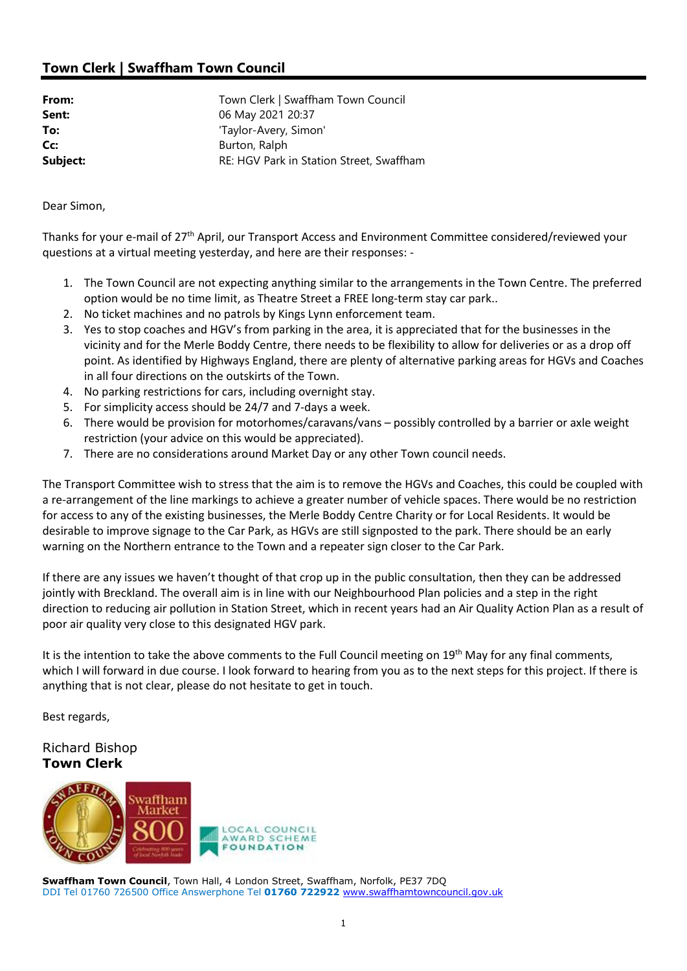# Town Clerk | Swaffham Town Council

| From:    | Town Clerk   Swaffham Town Council       |
|----------|------------------------------------------|
| Sent:    | 06 May 2021 20:37                        |
| To:      | 'Taylor-Avery, Simon'                    |
| Cc:      | Burton, Ralph                            |
| Subject: | RE: HGV Park in Station Street, Swaffham |

Dear Simon,

Thanks for your e-mail of 27th April, our Transport Access and Environment Committee considered/reviewed your questions at a virtual meeting yesterday, and here are their responses: -

- 1. The Town Council are not expecting anything similar to the arrangements in the Town Centre. The preferred option would be no time limit, as Theatre Street a FREE long-term stay car park..
- 2. No ticket machines and no patrols by Kings Lynn enforcement team.
- 3. Yes to stop coaches and HGV's from parking in the area, it is appreciated that for the businesses in the vicinity and for the Merle Boddy Centre, there needs to be flexibility to allow for deliveries or as a drop off point. As identified by Highways England, there are plenty of alternative parking areas for HGVs and Coaches in all four directions on the outskirts of the Town.
- 4. No parking restrictions for cars, including overnight stay.
- 5. For simplicity access should be 24/7 and 7-days a week.
- 6. There would be provision for motorhomes/caravans/vans possibly controlled by a barrier or axle weight restriction (your advice on this would be appreciated).
- 7. There are no considerations around Market Day or any other Town council needs.

The Transport Committee wish to stress that the aim is to remove the HGVs and Coaches, this could be coupled with a re-arrangement of the line markings to achieve a greater number of vehicle spaces. There would be no restriction for access to any of the existing businesses, the Merle Boddy Centre Charity or for Local Residents. It would be desirable to improve signage to the Car Park, as HGVs are still signposted to the park. There should be an early warning on the Northern entrance to the Town and a repeater sign closer to the Car Park.

If there are any issues we haven't thought of that crop up in the public consultation, then they can be addressed jointly with Breckland. The overall aim is in line with our Neighbourhood Plan policies and a step in the right direction to reducing air pollution in Station Street, which in recent years had an Air Quality Action Plan as a result of poor air quality very close to this designated HGV park.

It is the intention to take the above comments to the Full Council meeting on 19<sup>th</sup> May for any final comments, which I will forward in due course. I look forward to hearing from you as to the next steps for this project. If there is anything that is not clear, please do not hesitate to get in touch.

Best regards,

## Richard Bishop Town Clerk



Swaffham Town Council, Town Hall, 4 London Street, Swaffham, Norfolk, PE37 7DQ DDI Tel 01760 726500 Office Answerphone Tel 01760 722922 www.swaffhamtowncouncil.gov.uk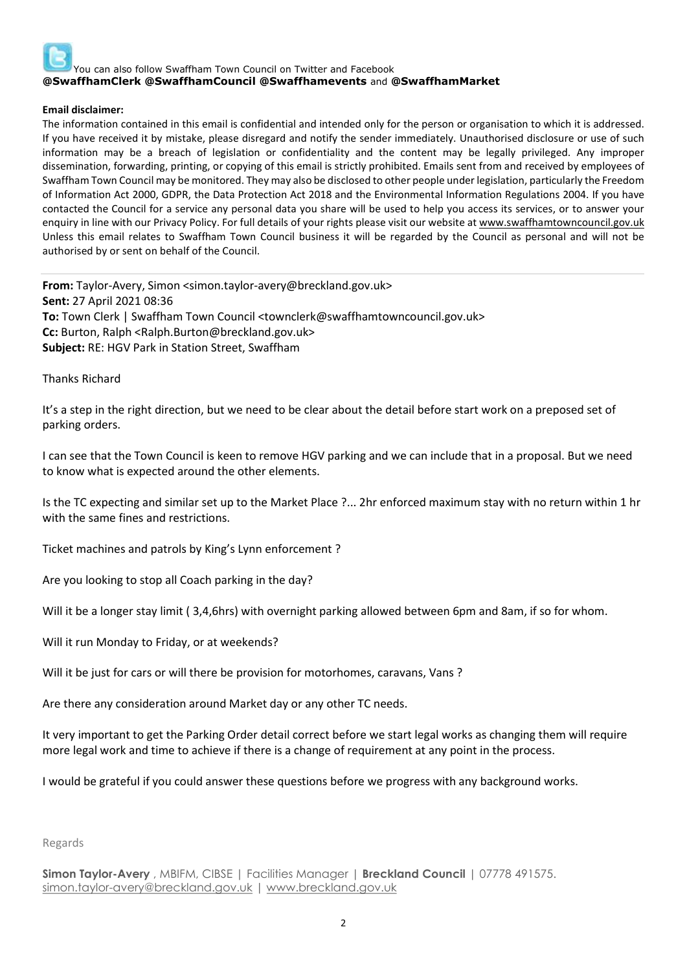

#### Email disclaimer:

The information contained in this email is confidential and intended only for the person or organisation to which it is addressed. If you have received it by mistake, please disregard and notify the sender immediately. Unauthorised disclosure or use of such information may be a breach of legislation or confidentiality and the content may be legally privileged. Any improper dissemination, forwarding, printing, or copying of this email is strictly prohibited. Emails sent from and received by employees of Swaffham Town Council may be monitored. They may also be disclosed to other people under legislation, particularly the Freedom of Information Act 2000, GDPR, the Data Protection Act 2018 and the Environmental Information Regulations 2004. If you have contacted the Council for a service any personal data you share will be used to help you access its services, or to answer your enquiry in line with our Privacy Policy. For full details of your rights please visit our website at www.swaffhamtowncouncil.gov.uk Unless this email relates to Swaffham Town Council business it will be regarded by the Council as personal and will not be authorised by or sent on behalf of the Council.

From: Taylor-Avery, Simon <simon.taylor-avery@breckland.gov.uk> Sent: 27 April 2021 08:36 To: Town Clerk | Swaffham Town Council <townclerk@swaffhamtowncouncil.gov.uk> Cc: Burton, Ralph <Ralph.Burton@breckland.gov.uk> Subject: RE: HGV Park in Station Street, Swaffham

Thanks Richard

It's a step in the right direction, but we need to be clear about the detail before start work on a preposed set of parking orders.

I can see that the Town Council is keen to remove HGV parking and we can include that in a proposal. But we need to know what is expected around the other elements.

Is the TC expecting and similar set up to the Market Place ?... 2hr enforced maximum stay with no return within 1 hr with the same fines and restrictions.

Ticket machines and patrols by King's Lynn enforcement ?

Are you looking to stop all Coach parking in the day?

Will it be a longer stay limit ( 3,4,6hrs) with overnight parking allowed between 6pm and 8am, if so for whom.

Will it run Monday to Friday, or at weekends?

Will it be just for cars or will there be provision for motorhomes, caravans, Vans ?

Are there any consideration around Market day or any other TC needs.

It very important to get the Parking Order detail correct before we start legal works as changing them will require more legal work and time to achieve if there is a change of requirement at any point in the process.

I would be grateful if you could answer these questions before we progress with any background works.

#### Regards

Simon Taylor-Avery, MBIFM, CIBSE | Facilities Manager | Breckland Council | 07778 491575. simon.taylor-avery@breckland.gov.uk | www.breckland.gov.uk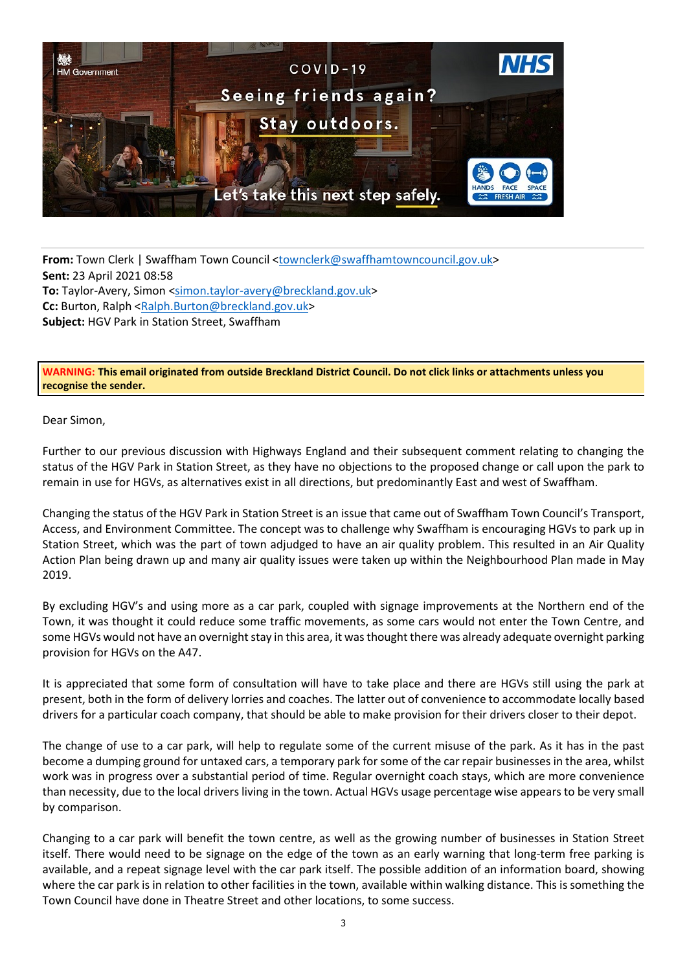

From: Town Clerk | Swaffham Town Council <townclerk@swaffhamtowncouncil.gov.uk> Sent: 23 April 2021 08:58 To: Taylor-Avery, Simon <simon.taylor-avery@breckland.gov.uk> Cc: Burton, Ralph <Ralph.Burton@breckland.gov.uk> Subject: HGV Park in Station Street, Swaffham

WARNING: This email originated from outside Breckland District Council. Do not click links or attachments unless you recognise the sender.

Dear Simon,

Further to our previous discussion with Highways England and their subsequent comment relating to changing the status of the HGV Park in Station Street, as they have no objections to the proposed change or call upon the park to remain in use for HGVs, as alternatives exist in all directions, but predominantly East and west of Swaffham.

Changing the status of the HGV Park in Station Street is an issue that came out of Swaffham Town Council's Transport, Access, and Environment Committee. The concept was to challenge why Swaffham is encouraging HGVs to park up in Station Street, which was the part of town adjudged to have an air quality problem. This resulted in an Air Quality Action Plan being drawn up and many air quality issues were taken up within the Neighbourhood Plan made in May 2019.

By excluding HGV's and using more as a car park, coupled with signage improvements at the Northern end of the Town, it was thought it could reduce some traffic movements, as some cars would not enter the Town Centre, and some HGVs would not have an overnight stay in this area, it was thought there was already adequate overnight parking provision for HGVs on the A47.

It is appreciated that some form of consultation will have to take place and there are HGVs still using the park at present, both in the form of delivery lorries and coaches. The latter out of convenience to accommodate locally based drivers for a particular coach company, that should be able to make provision for their drivers closer to their depot.

The change of use to a car park, will help to regulate some of the current misuse of the park. As it has in the past become a dumping ground for untaxed cars, a temporary park for some of the car repair businesses in the area, whilst work was in progress over a substantial period of time. Regular overnight coach stays, which are more convenience than necessity, due to the local drivers living in the town. Actual HGVs usage percentage wise appears to be very small by comparison.

Changing to a car park will benefit the town centre, as well as the growing number of businesses in Station Street itself. There would need to be signage on the edge of the town as an early warning that long-term free parking is available, and a repeat signage level with the car park itself. The possible addition of an information board, showing where the car park is in relation to other facilities in the town, available within walking distance. This is something the Town Council have done in Theatre Street and other locations, to some success.